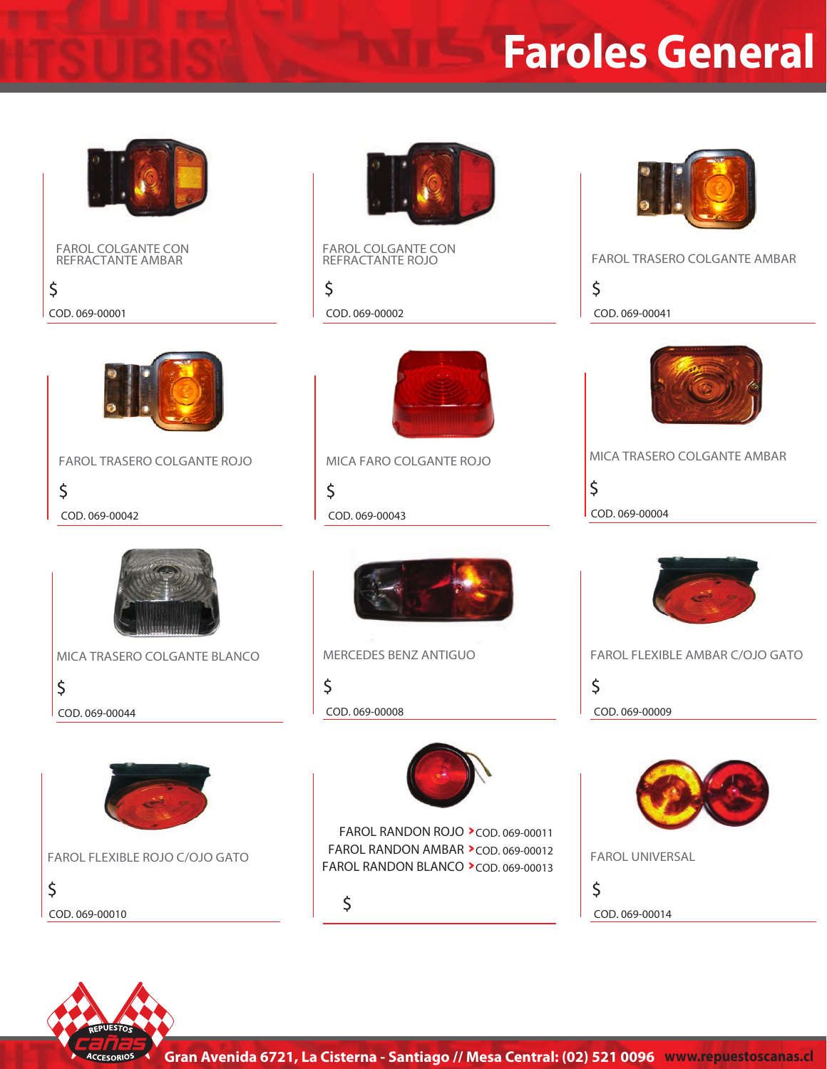

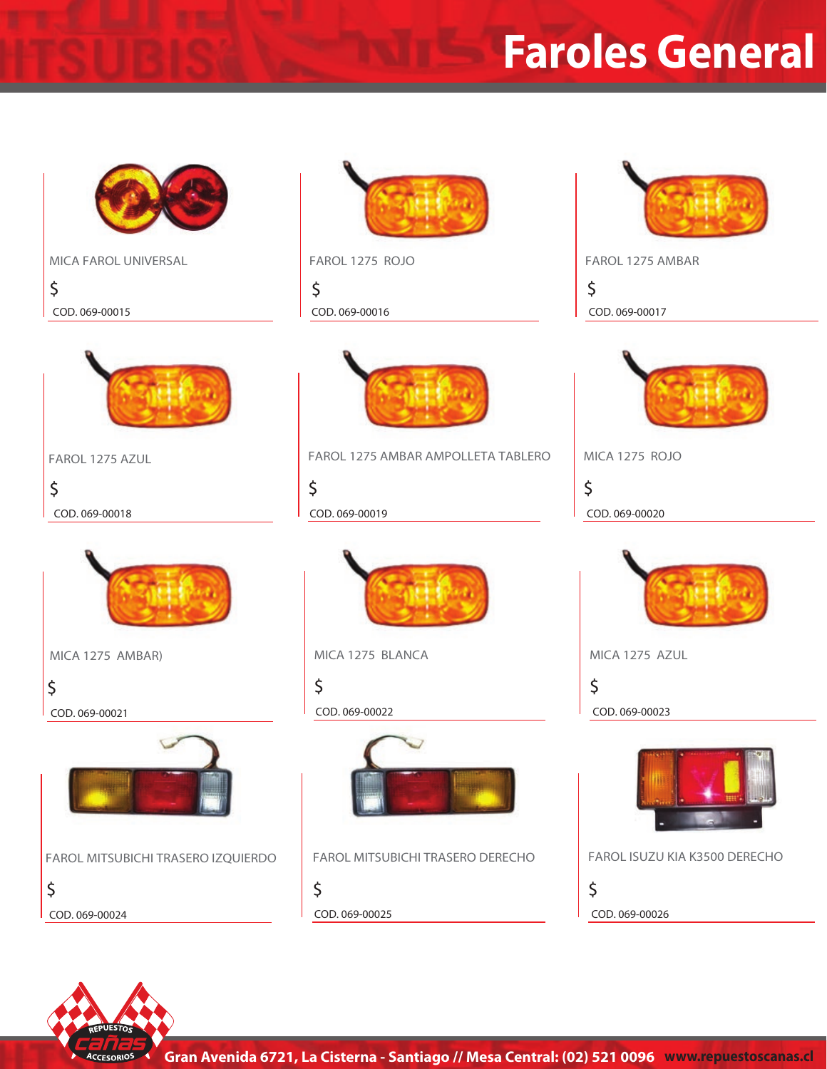

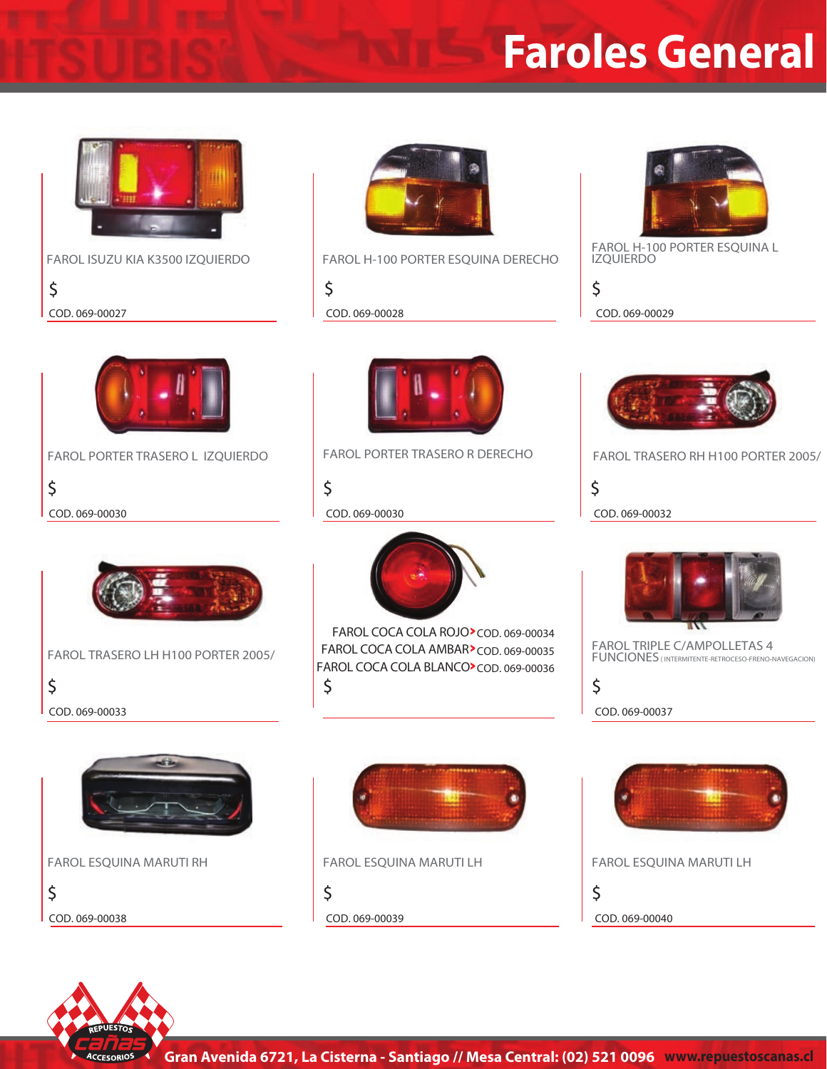

**FAROL PORTER TRASERO L IZQUIERDO**

**\$ COD. 069-00027 COD. 069-00028 COD. 069-00029**

**\$**

**\$**

**COD. 069-00033**



**FAROL ISUZU KIA K3500 IZQUIERDO FAROL H-100 PORTER ESQUINA DERECHO**

**\$**

**\$**



**FAROL H-100 PORTER ESQUINA L IZQUIERDO**

**\$**



**FAROL PORTER TRASERO R DERECHO FAROL TRASERO RH H100 PORTER 2005/**

**\$**



**FAROL TRIPLE C/AMPOLLETAS 4 FUNCIONES ( INTERMITENTE-RETROCESO-FRENO-NAVEGACION)**

**COD. 069-00037**

**\$**



**FAROL TRASERO LH H100 PORTER 2005/**

**FAROL ESQUINA MARUTI RH**

**\$**





**\$ FAROL COCA COLA ROJO >COD. 069-00034 FAROL COCA COLA AMBAR >COD. 069-00035 FAROL COCA COLA BLANCO >COD. 069-00036**



**FAROL ESQUINA MARUTI LH**

**\$**

**COD. 069-00038 COD. 069-00039**



**FAROL ESQUINA MARUTI LH**

**\$**

**COD. 069-00040**



**COD. 069-00030 COD. 069-00030 COD. 069-00032**